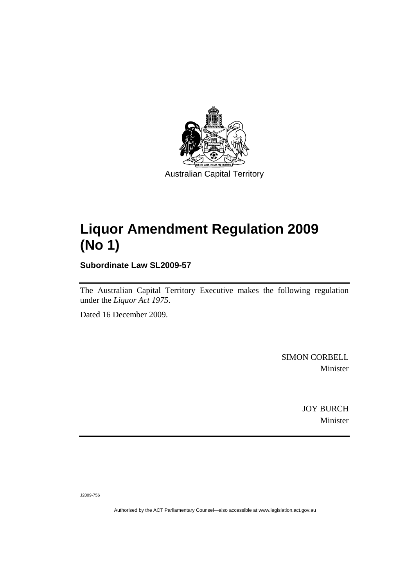

## **[Liquor Amendment Regulation 2009](#page-2-0)  [\(No 1\)](#page-2-0)**

**Subordinate Law SL2009-57** 

The Australian Capital Territory Executive makes the following regulation under the *[Liquor Act 1975](#page-2-0)*.

Dated 16 December 2009.

SIMON CORBELL Minister

> JOY BURCH Minister

J2009-756

Authorised by the ACT Parliamentary Counsel—also accessible at www.legislation.act.gov.au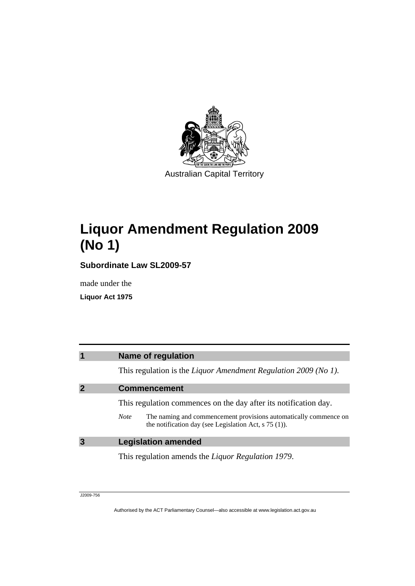<span id="page-2-0"></span>

# **Liquor Amendment Regulation 2009 (No 1)**

**Subordinate Law SL2009-57** 

made under the

**Liquor Act 1975** 

| 1           | <b>Name of regulation</b>                                                                                                                  |
|-------------|--------------------------------------------------------------------------------------------------------------------------------------------|
|             | This regulation is the Liquor Amendment Regulation 2009 (No 1).                                                                            |
| $\mathbf 2$ | <b>Commencement</b>                                                                                                                        |
|             | This regulation commences on the day after its notification day.                                                                           |
|             | The naming and commencement provisions automatically commence on<br><b>Note</b><br>the notification day (see Legislation Act, $s$ 75 (1)). |
| 3           | <b>Legislation amended</b>                                                                                                                 |
|             | This regulation amends the <i>Liquor Regulation 1979</i> .                                                                                 |

J2009-756

Authorised by the ACT Parliamentary Counsel—also accessible at www.legislation.act.gov.au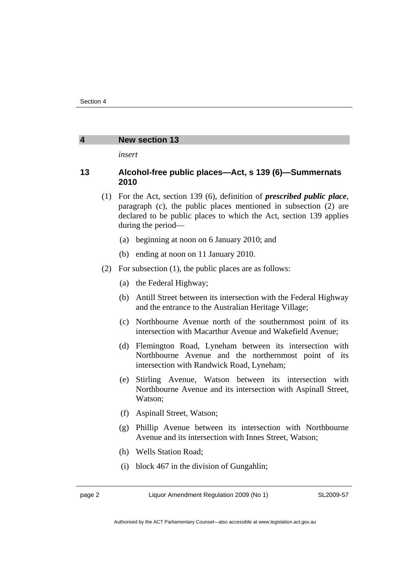#### **4 New section 13**

*insert* 

### **13 Alcohol-free public places—Act, s 139 (6)—Summernats 2010**

- (1) For the Act, section 139 (6), definition of *prescribed public place*, paragraph (c), the public places mentioned in subsection (2) are declared to be public places to which the Act, section 139 applies during the period—
	- (a) beginning at noon on 6 January 2010; and
	- (b) ending at noon on 11 January 2010.
- (2) For subsection (1), the public places are as follows:
	- (a) the Federal Highway;
	- (b) Antill Street between its intersection with the Federal Highway and the entrance to the Australian Heritage Village;
	- (c) Northbourne Avenue north of the southernmost point of its intersection with Macarthur Avenue and Wakefield Avenue;
	- (d) Flemington Road, Lyneham between its intersection with Northbourne Avenue and the northernmost point of its intersection with Randwick Road, Lyneham;
	- (e) Stirling Avenue, Watson between its intersection with Northbourne Avenue and its intersection with Aspinall Street, Watson;
	- (f) Aspinall Street, Watson;
	- (g) Phillip Avenue between its intersection with Northbourne Avenue and its intersection with Innes Street, Watson;
	- (h) Wells Station Road;
	- (i) block 467 in the division of Gungahlin;

page 2 Liquor Amendment Regulation 2009 (No 1)

SL2009-57